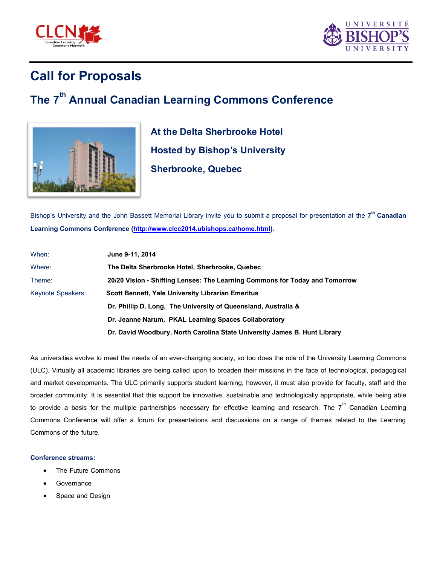



## **Call for Proposals**

## **The 7th Annual Canadian Learning Commons Conference**



**At the Delta Sherbrooke Hotel Hosted by Bishop's University Sherbrooke, Quebec** 

Bishop's University and the John Bassett Memorial Library invite you to submit a proposal for presentation at the **7 th Canadian Learning Commons Conference [\(http://www.clcc2014.ubishops.ca/home.html\)](http://www.clcc2014.ubishops.ca/home.html)**.

| When:             | June 9-11, 2014                                                             |
|-------------------|-----------------------------------------------------------------------------|
| Where:            | The Delta Sherbrooke Hotel, Sherbrooke, Quebec                              |
| Theme:            | 20/20 Vision - Shifting Lenses: The Learning Commons for Today and Tomorrow |
| Keynote Speakers: | <b>Scott Bennett, Yale University Librarian Emeritus</b>                    |
|                   | Dr. Phillip D. Long, The University of Queensland, Australia &              |
|                   | Dr. Jeanne Narum, PKAL Learning Spaces Collaboratory                        |
|                   | Dr. David Woodbury, North Carolina State University James B. Hunt Library   |

As universities evolve to meet the needs of an ever-changing society, so too does the role of the University Learning Commons (ULC). Virtually all academic libraries are being called upon to broaden their missions in the face of technological, pedagogical and market developments. The ULC primarily supports student learning; however, it must also provide for faculty, staff and the broader community. It is essential that this support be innovative, sustainable and technologically appropriate, while being able to provide a basis for the multiple partnerships necessary for effective learning and research. The  $7^{\text{th}}$  Canadian Learning Commons Conference will offer a forum for presentations and discussions on a range of themes related to the Learning Commons of the future.

## **Conference streams:**

- The Future Commons
- Governance
- Space and Design